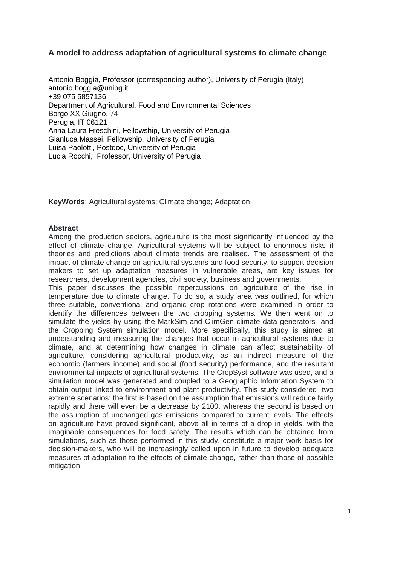## **A model to address adaptation of agricultural systems to climate change**

Antonio Boggia, Professor (corresponding author), University of Perugia (Italy) antonio.boggia@unipg.it +39 075 5857136 Department of Agricultural, Food and Environmental Sciences Borgo XX Giugno, 74 Perugia, IT 06121 Anna Laura Freschini, Fellowship, University of Perugia Gianluca Massei, Fellowship, University of Perugia Luisa Paolotti, Postdoc, University of Perugia Lucia Rocchi, Professor, University of Perugia

**KeyWords**: Agricultural systems; Climate change; Adaptation

#### **Abstract**

Among the production sectors, agriculture is the most significantly influenced by the effect of climate change. Agricultural systems will be subject to enormous risks if theories and predictions about climate trends are realised. The assessment of the impact of climate change on agricultural systems and food security, to support decision makers to set up adaptation measures in vulnerable areas, are key issues for researchers, development agencies, civil society, business and governments.

This paper discusses the possible repercussions on agriculture of the rise in temperature due to climate change. To do so, a study area was outlined, for which three suitable, conventional and organic crop rotations were examined in order to identify the differences between the two cropping systems. We then went on to simulate the yields by using the MarkSim and ClimGen climate data generators and the Cropping System simulation model. More specifically, this study is aimed at understanding and measuring the changes that occur in agricultural systems due to climate, and at determining how changes in climate can affect sustainability of agriculture, considering agricultural productivity, as an indirect measure of the economic (farmers income) and social (food security) performance, and the resultant environmental impacts of agricultural systems. The CropSyst software was used, and a simulation model was generated and coupled to a Geographic Information System to obtain output linked to environment and plant productivity. This study considered two extreme scenarios: the first is based on the assumption that emissions will reduce fairly rapidly and there will even be a decrease by 2100, whereas the second is based on the assumption of unchanged gas emissions compared to current levels. The effects on agriculture have proved significant, above all in terms of a drop in yields, with the imaginable consequences for food safety. The results which can be obtained from simulations, such as those performed in this study, constitute a major work basis for decision-makers, who will be increasingly called upon in future to develop adequate measures of adaptation to the effects of climate change, rather than those of possible mitigation.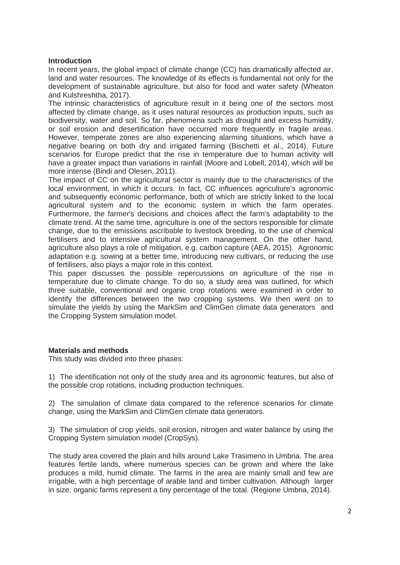### **Introduction**

In recent years, the global impact of climate change (CC) has dramatically affected air, land and water resources. The knowledge of its effects is fundamental not only for the development of sustainable agriculture, but also for food and water safety (Wheaton and Kulshreshtha, 2017).

The intrinsic characteristics of agriculture result in it being one of the sectors most affected by climate change, as it uses natural resources as production inputs, such as biodiversity, water and soil. So far, phenomena such as drought and excess humidity, or soil erosion and desertification have occurred more frequently in fragile areas. However, temperate zones are also experiencing alarming situations, which have a negative bearing on both dry and irrigated farming (Bischetti et al., 2014). Future scenarios for Europe predict that the rise in temperature due to human activity will have a greater impact than variations in rainfall (Moore and Lobell, 2014), which will be more intense (Bindi and Olesen, 2011).

The impact of CC on the agricultural sector is mainly due to the characteristics of the local environment, in which it occurs. In fact, CC influences agriculture's agronomic and subsequently economic performance, both of which are strictly linked to the local agricultural system and to the economic system in which the farm operates. Furthermore, the farmer's decisions and choices affect the farm's adaptability to the climate trend. At the same time, agriculture is one of the sectors responsible for climate change, due to the emissions ascribable to livestock breeding, to the use of chemical fertilisers and to intensive agricultural system management. On the other hand, agriculture also plays a role of mitigation, e.g. carbon capture (AEA, 2015). Agronomic adaptation e.g. sowing at a better time, introducing new cultivars, or reducing the use of fertilisers, also plays a major role in this context.

This paper discusses the possible repercussions on agriculture of the rise in temperature due to climate change. To do so, a study area was outlined, for which three suitable, conventional and organic crop rotations were examined in order to identify the differences between the two cropping systems. We then went on to simulate the yields by using the MarkSim and ClimGen climate data generators and the Cropping System simulation model.

#### **Materials and methods**

This study was divided into three phases:

1) The identification not only of the study area and its agronomic features, but also of the possible crop rotations, including production techniques.

2) The simulation of climate data compared to the reference scenarios for climate change, using the MarkSim and ClimGen climate data generators.

3) The simulation of crop yields, soil erosion, nitrogen and water balance by using the Cropping System simulation model (CropSys).

The study area covered the plain and hills around Lake Trasimeno in Umbria. The area features fertile lands, where numerous species can be grown and where the lake produces a mild, humid climate. The farms in the area are mainly small and few are irrigable, with a high percentage of arable land and timber cultivation. Although larger in size, organic farms represent a tiny percentage of the total. (Regione Umbria, 2014).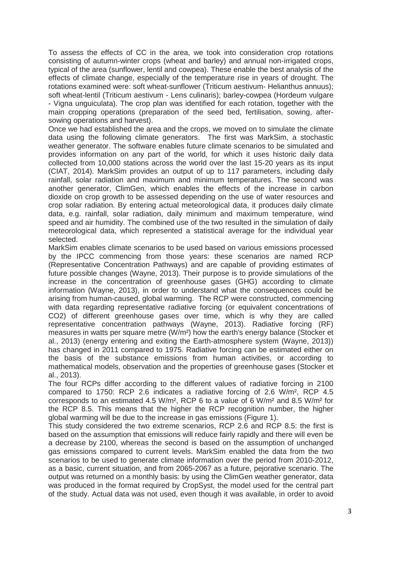To assess the effects of CC in the area, we took into consideration crop rotations consisting of autumn-winter crops (wheat and barley) and annual non-irrigated crops, typical of the area (sunflower, lentil and cowpea). These enable the best analysis of the effects of climate change, especially of the temperature rise in years of drought. The rotations examined were: soft wheat-sunflower (Triticum aestivum- Helianthus annuus); soft wheat-lentil (Triticum aestivum - Lens culinaris); barley-cowpea (Hordeum vulgare - Vigna unguiculata). The crop plan was identified for each rotation, together with the main cropping operations (preparation of the seed bed, fertilisation, sowing, aftersowing operations and harvest).

Once we had established the area and the crops, we moved on to simulate the climate data using the following climate generators. The first was MarkSim, a stochastic weather generator. The software enables future climate scenarios to be simulated and provides information on any part of the world, for which it uses historic daily data collected from 10,000 stations across the world over the last 15-20 years as its input (CIAT, 2014). MarkSim provides an output of up to 117 parameters, including daily rainfall, solar radiation and maximum and minimum temperatures. The second was another generator, ClimGen, which enables the effects of the increase in carbon dioxide on crop growth to be assessed depending on the use of water resources and crop solar radiation. By entering actual meteorological data, it produces daily climate data, e.g. rainfall, solar radiation, daily minimum and maximum temperature, wind speed and air humidity. The combined use of the two resulted in the simulation of daily meteorological data, which represented a statistical average for the individual year selected.

MarkSim enables climate scenarios to be used based on various emissions processed by the IPCC commencing from those years: these scenarios are named RCP (Representative Concentration Pathways) and are capable of providing estimates of future possible changes (Wayne, 2013). Their purpose is to provide simulations of the increase in the concentration of greenhouse gases (GHG) according to climate information (Wayne, 2013), in order to understand what the consequences could be arising from human-caused, global warming. The RCP were constructed, commencing with data regarding representative radiative forcing (or equivalent concentrations of CO2) of different greenhouse gases over time, which is why they are called representative concentration pathways (Wayne, 2013). Radiative forcing (RF) measures in watts per square metre (W/m²) how the earth's energy balance (Stocker et al., 2013) (energy entering and exiting the Earth-atmosphere system (Wayne, 2013)) has changed in 2011 compared to 1975. Radiative forcing can be estimated either on the basis of the substance emissions from human activities, or according to mathematical models, observation and the properties of greenhouse gases (Stocker et al., 2013).

The four RCPs differ according to the different values of radiative forcing in 2100 compared to 1750: RCP 2.6 indicates a radiative forcing of 2.6 W/m², RCP 4.5 corresponds to an estimated 4.5 W/m<sup>2</sup>, RCP 6 to a value of 6 W/m<sup>2</sup> and 8.5 W/m<sup>2</sup> for the RCP 8.5. This means that the higher the RCP recognition number, the higher global warming will be due to the increase in gas emissions (Figure 1).

This study considered the two extreme scenarios, RCP 2.6 and RCP 8.5: the first is based on the assumption that emissions will reduce fairly rapidly and there will even be a decrease by 2100, whereas the second is based on the assumption of unchanged gas emissions compared to current levels. MarkSim enabled the data from the two scenarios to be used to generate climate information over the period from 2010-2012. as a basic, current situation, and from 2065-2067 as a future, pejorative scenario. The output was returned on a monthly basis: by using the ClimGen weather generator, data was produced in the format required by CropSyst, the model used for the central part of the study. Actual data was not used, even though it was available, in order to avoid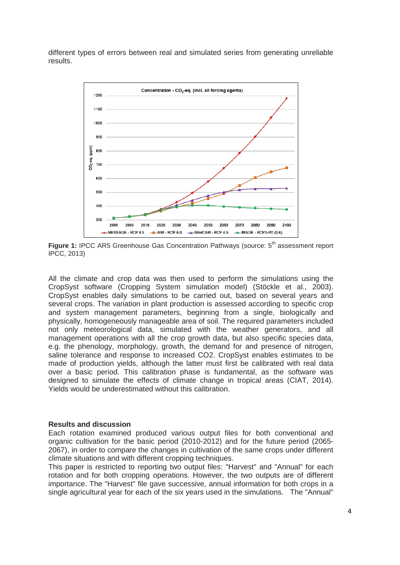different types of errors between real and simulated series from generating unreliable results.



Figure 1: IPCC AR5 Greenhouse Gas Concentration Pathways (source: 5<sup>th</sup> assessment report IPCC, 2013)

All the climate and crop data was then used to perform the simulations using the CropSyst software (Cropping System simulation model) (Stöckle et al., 2003). CropSyst enables daily simulations to be carried out, based on several years and several crops. The variation in plant production is assessed according to specific crop and system management parameters, beginning from a single, biologically and physically, homogeneously manageable area of soil. The required parameters included not only meteorological data, simulated with the weather generators, and all management operations with all the crop growth data, but also specific species data, e.g. the phenology, morphology, growth, the demand for and presence of nitrogen, saline tolerance and response to increased CO2. CropSyst enables estimates to be made of production yields, although the latter must first be calibrated with real data over a basic period. This calibration phase is fundamental, as the software was designed to simulate the effects of climate change in tropical areas (CIAT, 2014). Yields would be underestimated without this calibration.

#### **Results and discussion**

Each rotation examined produced various output files for both conventional and organic cultivation for the basic period (2010-2012) and for the future period (2065- 2067), in order to compare the changes in cultivation of the same crops under different climate situations and with different cropping techniques.

This paper is restricted to reporting two output files: "Harvest" and "Annual" for each rotation and for both cropping operations. However, the two outputs are of different importance. The "Harvest" file gave successive, annual information for both crops in a single agricultural year for each of the six years used in the simulations. The "Annual"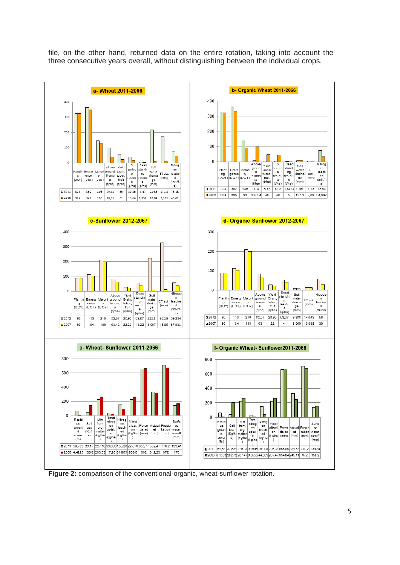



**Figure 2:** comparison of the conventional-organic, wheat-sunflower rotation.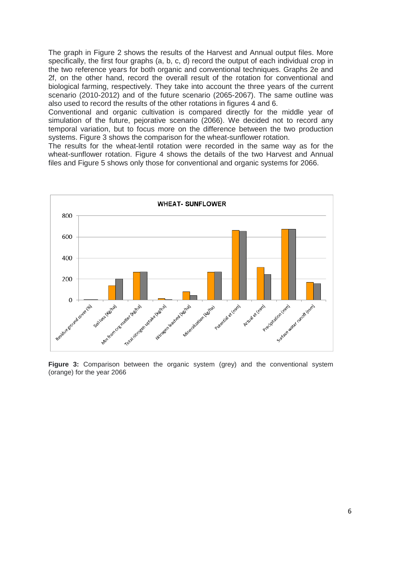The graph in Figure 2 shows the results of the Harvest and Annual output files. More specifically, the first four graphs (a, b, c, d) record the output of each individual crop in the two reference years for both organic and conventional techniques. Graphs 2e and 2f, on the other hand, record the overall result of the rotation for conventional and biological farming, respectively. They take into account the three years of the current scenario (2010-2012) and of the future scenario (2065-2067). The same outline was also used to record the results of the other rotations in figures 4 and 6.

Conventional and organic cultivation is compared directly for the middle year of simulation of the future, pejorative scenario (2066). We decided not to record any temporal variation, but to focus more on the difference between the two production systems. Figure 3 shows the comparison for the wheat-sunflower rotation.

The results for the wheat-lentil rotation were recorded in the same way as for the wheat-sunflower rotation. Figure 4 shows the details of the two Harvest and Annual files and Figure 5 shows only those for conventional and organic systems for 2066.



**Figure 3:** Comparison between the organic system (grey) and the conventional system (orange) for the year 2066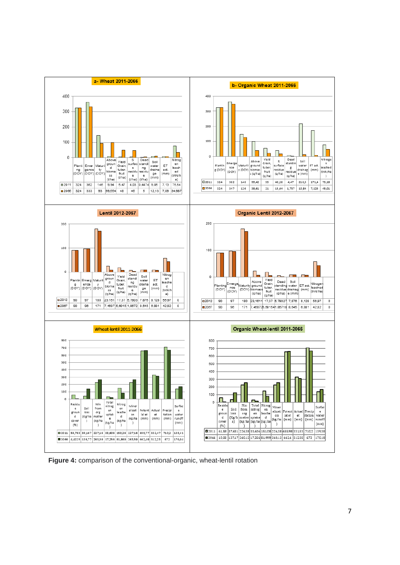

**Figure 4:** comparison of the conventional-organic, wheat-lentil rotation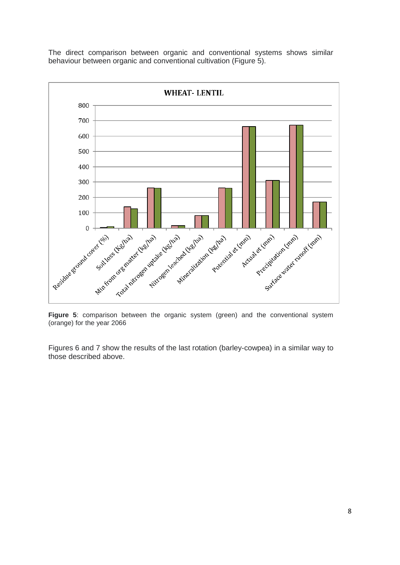The direct comparison between organic and conventional systems shows similar behaviour between organic and conventional cultivation (Figure 5).



**Figure 5**: comparison between the organic system (green) and the conventional system (orange) for the year 2066

Figures 6 and 7 show the results of the last rotation (barley-cowpea) in a similar way to those described above.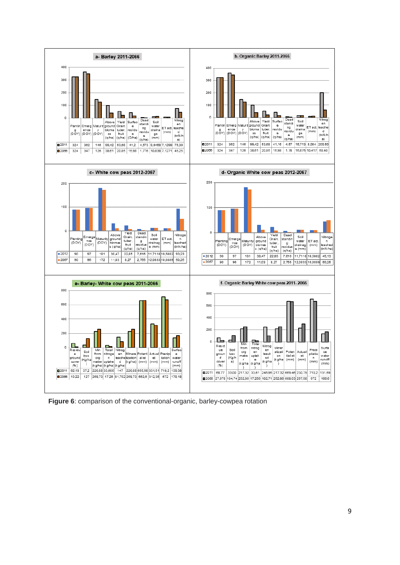

**Figure 6**: comparison of the conventional-organic, barley-cowpea rotation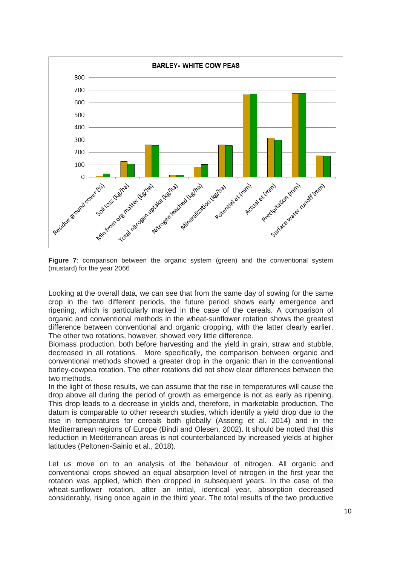

**Figure 7**: comparison between the organic system (green) and the conventional system (mustard) for the year 2066

Looking at the overall data, we can see that from the same day of sowing for the same crop in the two different periods, the future period shows early emergence and ripening, which is particularly marked in the case of the cereals. A comparison of organic and conventional methods in the wheat-sunflower rotation shows the greatest difference between conventional and organic cropping, with the latter clearly earlier. The other two rotations, however, showed very little difference.

Biomass production, both before harvesting and the yield in grain, straw and stubble, decreased in all rotations. More specifically, the comparison between organic and conventional methods showed a greater drop in the organic than in the conventional barley-cowpea rotation. The other rotations did not show clear differences between the two methods.

In the light of these results, we can assume that the rise in temperatures will cause the drop above all during the period of growth as emergence is not as early as ripening. This drop leads to a decrease in yields and, therefore, in marketable production. The datum is comparable to other research studies, which identify a yield drop due to the rise in temperatures for cereals both globally (Asseng et al. 2014) and in the Mediterranean regions of Europe (Bindi and Olesen, 2002). It should be noted that this reduction in Mediterranean areas is not counterbalanced by increased yields at higher latitudes (Peltonen-Sainio et al., 2018).

Let us move on to an analysis of the behaviour of nitrogen. All organic and conventional crops showed an equal absorption level of nitrogen in the first year the rotation was applied, which then dropped in subsequent years. In the case of the wheat-sunflower rotation, after an initial, identical year, absorption decreased considerably, rising once again in the third year. The total results of the two productive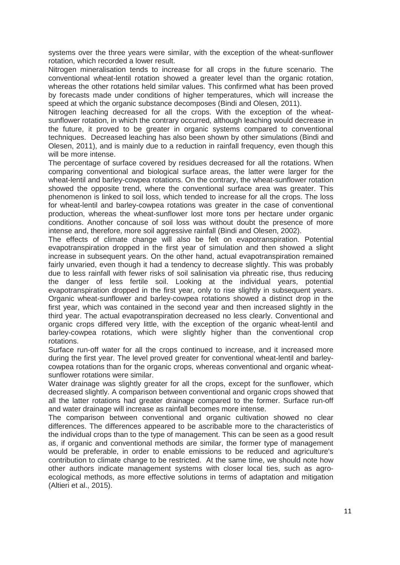systems over the three years were similar, with the exception of the wheat-sunflower rotation, which recorded a lower result.

Nitrogen mineralisation tends to increase for all crops in the future scenario. The conventional wheat-lentil rotation showed a greater level than the organic rotation, whereas the other rotations held similar values. This confirmed what has been proved by forecasts made under conditions of higher temperatures, which will increase the speed at which the organic substance decomposes (Bindi and Olesen, 2011).

Nitrogen leaching decreased for all the crops. With the exception of the wheatsunflower rotation, in which the contrary occurred, although leaching would decrease in the future, it proved to be greater in organic systems compared to conventional techniques. Decreased leaching has also been shown by other simulations (Bindi and Olesen, 2011), and is mainly due to a reduction in rainfall frequency, even though this will be more intense.

The percentage of surface covered by residues decreased for all the rotations. When comparing conventional and biological surface areas, the latter were larger for the wheat-lentil and barley-cowpea rotations. On the contrary, the wheat-sunflower rotation showed the opposite trend, where the conventional surface area was greater. This phenomenon is linked to soil loss, which tended to increase for all the crops. The loss for wheat-lentil and barley-cowpea rotations was greater in the case of conventional production, whereas the wheat-sunflower lost more tons per hectare under organic conditions. Another concause of soil loss was without doubt the presence of more intense and, therefore, more soil aggressive rainfall (Bindi and Olesen, 2002).

The effects of climate change will also be felt on evapotranspiration. Potential evapotranspiration dropped in the first year of simulation and then showed a slight increase in subsequent years. On the other hand, actual evapotranspiration remained fairly unvaried, even though it had a tendency to decrease slightly. This was probably due to less rainfall with fewer risks of soil salinisation via phreatic rise, thus reducing the danger of less fertile soil. Looking at the individual years, potential evapotranspiration dropped in the first year, only to rise slightly in subsequent years. Organic wheat-sunflower and barley-cowpea rotations showed a distinct drop in the first year, which was contained in the second year and then increased slightly in the third year. The actual evapotranspiration decreased no less clearly. Conventional and organic crops differed very little, with the exception of the organic wheat-lentil and barley-cowpea rotations, which were slightly higher than the conventional crop rotations.

Surface run-off water for all the crops continued to increase, and it increased more during the first year. The level proved greater for conventional wheat-lentil and barleycowpea rotations than for the organic crops, whereas conventional and organic wheatsunflower rotations were similar.

Water drainage was slightly greater for all the crops, except for the sunflower, which decreased slightly. A comparison between conventional and organic crops showed that all the latter rotations had greater drainage compared to the former. Surface run-off and water drainage will increase as rainfall becomes more intense.

The comparison between conventional and organic cultivation showed no clear differences. The differences appeared to be ascribable more to the characteristics of the individual crops than to the type of management. This can be seen as a good result as, if organic and conventional methods are similar, the former type of management would be preferable, in order to enable emissions to be reduced and agriculture's contribution to climate change to be restricted. At the same time, we should note how other authors indicate management systems with closer local ties, such as agroecological methods, as more effective solutions in terms of adaptation and mitigation (Altieri et al., 2015).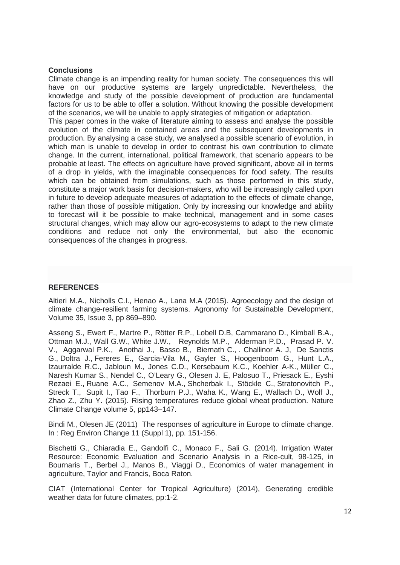#### **Conclusions**

Climate change is an impending reality for human society. The consequences this will have on our productive systems are largely unpredictable. Nevertheless, the knowledge and study of the possible development of production are fundamental factors for us to be able to offer a solution. Without knowing the possible development of the scenarios, we will be unable to apply strategies of mitigation or adaptation.

This paper comes in the wake of literature aiming to assess and analyse the possible evolution of the climate in contained areas and the subsequent developments in production. By analysing a case study, we analysed a possible scenario of evolution, in which man is unable to develop in order to contrast his own contribution to climate change. In the current, international, political framework, that scenario appears to be probable at least. The effects on agriculture have proved significant, above all in terms of a drop in yields, with the imaginable consequences for food safety. The results which can be obtained from simulations, such as those performed in this study, constitute a major work basis for decision-makers, who will be increasingly called upon in future to develop adequate measures of adaptation to the effects of climate change, rather than those of possible mitigation. Only by increasing our knowledge and ability to forecast will it be possible to make technical, management and in some cases structural changes, which may allow our agro-ecosystems to adapt to the new climate conditions and reduce not only the environmental, but also the economic consequences of the changes in progress.

# **REFERENCES**

Altieri M.A., Nicholls C.I., Henao A., Lana M.A (2015). Agroecology and the design of climate change-resilient farming systems. [Agronomy for Sustainable Development,](https://link.springer.com/journal/13593) Volume 35, [Issue](https://link.springer.com/journal/13593/35/3/page/1) 3, pp 869–890.

[Asseng](https://www.nature.com/articles/nclimate2470#auth-1) S., Ewert F., Martre P., Rötter R.P., Lobell D.B, Cammarano D., Kimball B.A., Ottman M.J., Wall G.W., [White](https://www.nature.com/articles/nclimate2470#auth-10) J.W., [Reynolds](https://www.nature.com/articles/nclimate2470#auth-11) M.P., [Alderman](https://www.nature.com/articles/nclimate2470#auth-12) P.D., [Prasad](https://www.nature.com/articles/nclimate2470#auth-13) P. V. V., [Aggarwal](https://www.nature.com/articles/nclimate2470#auth-14) P.K., [Anothai](https://www.nature.com/articles/nclimate2470#auth-15) J., [Basso](https://www.nature.com/articles/nclimate2470#auth-16) B., [Biernath](https://www.nature.com/articles/nclimate2470#auth-17) C., [. Challinor](https://www.nature.com/articles/nclimate2470#auth-18) A. J, [De Sanctis](https://www.nature.com/articles/nclimate2470#auth-19) G., [Doltra](https://www.nature.com/articles/nclimate2470#auth-20) J., [Fereres](https://www.nature.com/articles/nclimate2470#auth-21) E., [Garcia-Vila](https://www.nature.com/articles/nclimate2470#auth-22) M., [Gayler](https://www.nature.com/articles/nclimate2470#auth-23) S., [Hoogenboom](https://www.nature.com/articles/nclimate2470#auth-24) G., [Hunt](https://www.nature.com/articles/nclimate2470#auth-25) L.A., [Izaurralde](https://www.nature.com/articles/nclimate2470#auth-26) R.C., [Jabloun](https://www.nature.com/articles/nclimate2470#auth-27) M., [Jones](https://www.nature.com/articles/nclimate2470#auth-28) C.D., [Kersebaum](https://www.nature.com/articles/nclimate2470#auth-29) K.C., [Koehler](https://www.nature.com/articles/nclimate2470#auth-30) A-K., [Müller](https://www.nature.com/articles/nclimate2470#auth-31) C., [Naresh Kumar](https://www.nature.com/articles/nclimate2470#auth-32) S., [Nendel](https://www.nature.com/articles/nclimate2470#auth-33) C., [O'Leary](https://www.nature.com/articles/nclimate2470#auth-34) G., [Olesen](https://www.nature.com/articles/nclimate2470#auth-35) J. E, [Palosuo](https://www.nature.com/articles/nclimate2470#auth-36) T., [Priesack](https://www.nature.com/articles/nclimate2470#auth-37) E., [Eyshi](https://www.nature.com/articles/nclimate2470#auth-38)  [Rezaei](https://www.nature.com/articles/nclimate2470#auth-38) E., [Ruane](https://www.nature.com/articles/nclimate2470#auth-39) A.C., [Semenov](https://www.nature.com/articles/nclimate2470#auth-40) M.A., [Shcherbak](https://www.nature.com/articles/nclimate2470#auth-41) I., [Stöckle](https://www.nature.com/articles/nclimate2470#auth-42) C., [Stratonovitch](https://www.nature.com/articles/nclimate2470#auth-43) P., [Streck](https://www.nature.com/articles/nclimate2470#auth-44) T., [Supit](https://www.nature.com/articles/nclimate2470#auth-45) I., [Tao](https://www.nature.com/articles/nclimate2470#auth-46) F., [Thorburn](https://www.nature.com/articles/nclimate2470#auth-47) P.J., [Waha](https://www.nature.com/articles/nclimate2470#auth-48) K., [Wang](https://www.nature.com/articles/nclimate2470#auth-49) E., [Wallach](https://www.nature.com/articles/nclimate2470#auth-50) D., [Wolf](https://www.nature.com/articles/nclimate2470#auth-51) J., [Zhao](https://www.nature.com/articles/nclimate2470#auth-52) Z., [Zhu](https://www.nature.com/articles/nclimate2470#auth-53) Y. (2015). Rising temperatures reduce global wheat production. Nature Climate Change volume 5, pp143–147.

Bindi M., Olesen JE (2011) The responses of agriculture in Europe to climate change. In : Reg Environ Change 11 (Suppl 1), pp. 151-156.

Bischetti G., Chiaradia E., Gandolfi C., Monaco F., Sali G. (2014). Irrigation Water Resource: Economic Evaluation and Scenario Analysis in a Rice-cult, 98-125, in Bournaris T., Berbel J., Manos B., Viaggi D., Economics of water management in agriculture, Taylor and Francis, Boca Raton.

CIAT (International Center for Tropical Agriculture) (2014), Generating credible weather data for future climates, pp:1-2.